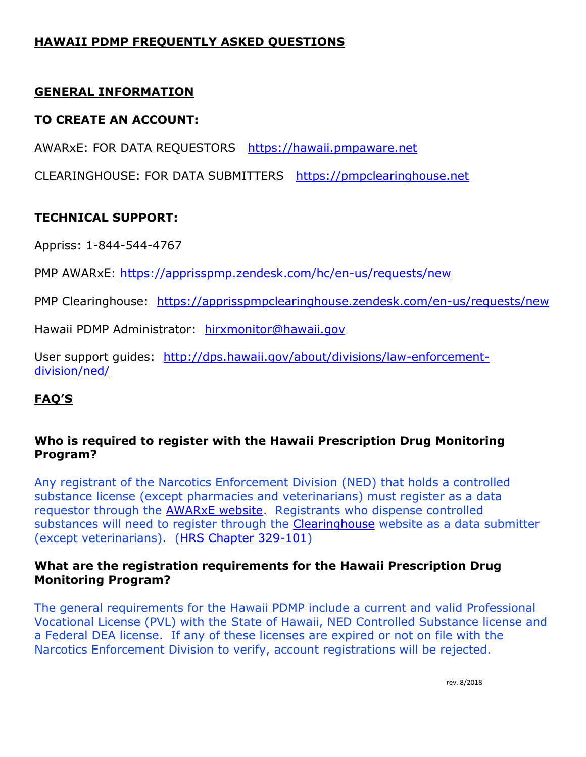# **HAWAII PDMP FREQUENTLY ASKED QUESTIONS**

## **GENERAL INFORMATION**

### **TO CREATE AN ACCOUNT:**

AWARxE: FOR DATA REQUESTORS [https://hawaii.pmpaware.net](https://hawaii.pmpaware.net/)

CLEARINGHOUSE: FOR DATA SUBMITTERS [https://pmpclearinghouse.net](https://pmpclearinghouse.net/)

## **TECHNICAL SUPPORT:**

Appriss: 1-844-544-4767

PMP AWARxE:<https://apprisspmp.zendesk.com/hc/en-us/requests/new>

PMP Clearinghouse: <https://apprisspmpclearinghouse.zendesk.com/en-us/requests/new>

Hawaii PDMP Administrator: [hirxmonitor@hawaii.gov](mailto:hirxmonitor@hawaii.gov)

User support guides: [http://dps.hawaii.gov/about/divisions/law-enforcement](http://dps.hawaii.gov/about/divisions/law-enforcement-division/ned/)[division/ned/](http://dps.hawaii.gov/about/divisions/law-enforcement-division/ned/)

## **FAQ'S**

### **Who is required to register with the Hawaii Prescription Drug Monitoring Program?**

Any registrant of the Narcotics Enforcement Division (NED) that holds a controlled substance license (except pharmacies and veterinarians) must register as a data requestor through the [AWARxE website.](https://hawaii.pmpaware.net/login) Registrants who dispense controlled substances will need to register through the [Clearinghouse](https://pmpclearinghouse.net/) website as a data submitter (except veterinarians). [\(HRS Chapter 329-101\)](https://www.capitol.hawaii.gov/hrscurrent/Vol06_Ch0321-0344/HRS0329/HRS_0329-0101.htm)

### **What are the registration requirements for the Hawaii Prescription Drug Monitoring Program?**

The general requirements for the Hawaii PDMP include a current and valid Professional Vocational License (PVL) with the State of Hawaii, NED Controlled Substance license and a Federal DEA license. If any of these licenses are expired or not on file with the Narcotics Enforcement Division to verify, account registrations will be rejected.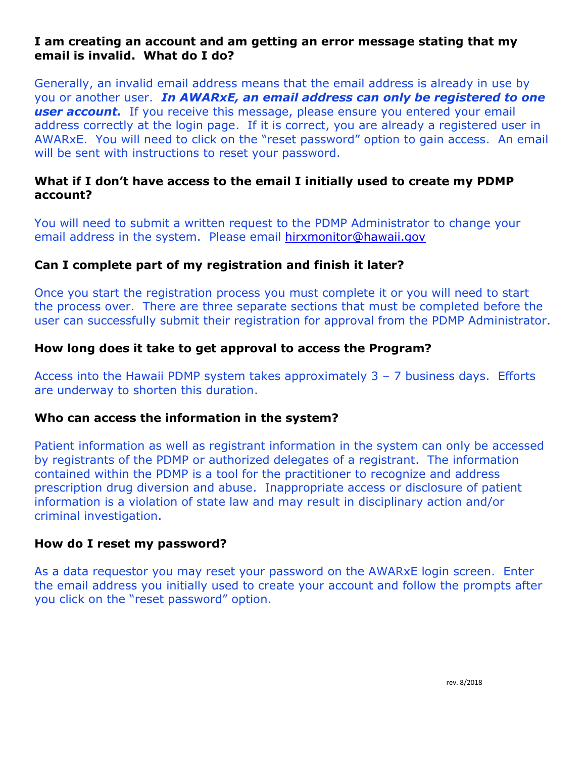### **I am creating an account and am getting an error message stating that my email is invalid. What do I do?**

Generally, an invalid email address means that the email address is already in use by you or another user. *In AWARxE, an email address can only be registered to one*  **user account.** If you receive this message, please ensure you entered your email address correctly at the login page. If it is correct, you are already a registered user in AWARxE. You will need to click on the "reset password" option to gain access. An email will be sent with instructions to reset your password.

### **What if I don't have access to the email I initially used to create my PDMP account?**

You will need to submit a written request to the PDMP Administrator to change your email address in the system. Please email [hirxmonitor@hawaii.gov](mailto:hirxmonitor@hawaii.gov)

#### **Can I complete part of my registration and finish it later?**

Once you start the registration process you must complete it or you will need to start the process over. There are three separate sections that must be completed before the user can successfully submit their registration for approval from the PDMP Administrator.

#### **How long does it take to get approval to access the Program?**

Access into the Hawaii PDMP system takes approximately  $3 - 7$  business days. Efforts are underway to shorten this duration.

#### **Who can access the information in the system?**

Patient information as well as registrant information in the system can only be accessed by registrants of the PDMP or authorized delegates of a registrant. The information contained within the PDMP is a tool for the practitioner to recognize and address prescription drug diversion and abuse. Inappropriate access or disclosure of patient information is a violation of state law and may result in disciplinary action and/or criminal investigation.

#### **How do I reset my password?**

As a data requestor you may reset your password on the AWARxE login screen. Enter the email address you initially used to create your account and follow the prompts after you click on the "reset password" option.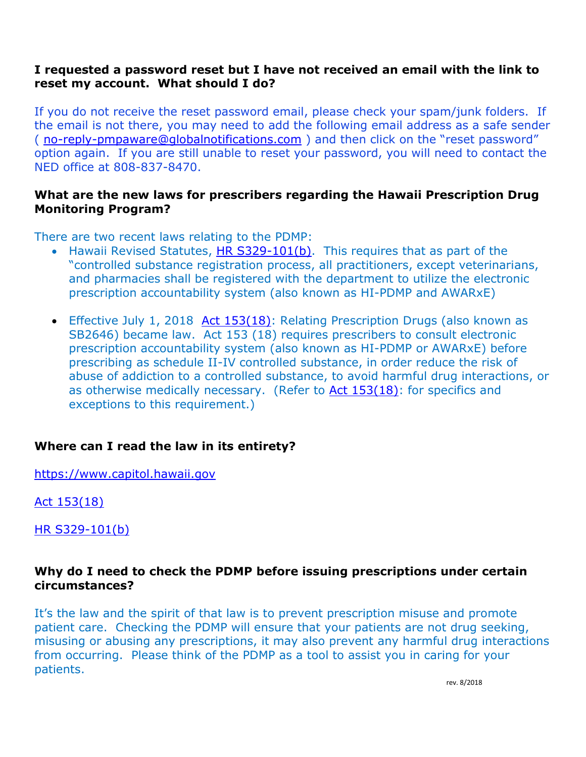#### **I requested a password reset but I have not received an email with the link to reset my account. What should I do?**

If you do not receive the reset password email, please check your spam/junk folders. If the email is not there, you may need to add the following email address as a safe sender ( [no-reply-pmpaware@globalnotifications.com](mailto:no-reply-pmpaware@globalnotifications.com) ) and then click on the "reset password" option again. If you are still unable to reset your password, you will need to contact the NED office at 808-837-8470.

#### **What are the new laws for prescribers regarding the Hawaii Prescription Drug Monitoring Program?**

There are two recent laws relating to the PDMP:

- Hawaii Revised Statutes, [HR S329-101\(b\).](https://www.capitol.hawaii.gov/hrscurrent/Vol06_Ch0321-0344/HRS0329/HRS_0329-0101.htm) This requires that as part of the "controlled substance registration process, all practitioners, except veterinarians, and pharmacies shall be registered with the department to utilize the electronic prescription accountability system (also known as HI-PDMP and AWARxE)
- Effective July 1, 2018 [Act 153\(18\):](https://www.capitol.hawaii.gov/session2018/bills/GM1262_.pdf) Relating Prescription Drugs (also known as SB2646) became law. Act 153 (18) requires prescribers to consult electronic prescription accountability system (also known as HI-PDMP or AWARxE) before prescribing as schedule II-IV controlled substance, in order reduce the risk of abuse of addiction to a controlled substance, to avoid harmful drug interactions, or as otherwise medically necessary. (Refer to [Act 153\(18\):](https://www.capitol.hawaii.gov/session2018/bills/GM1262_.pdf) for specifics and exceptions to this requirement.)

## **Where can I read the law in its entirety?**

[https://www.capitol.hawaii.gov](https://www.capitol.hawaii.gov/)

#### [Act 153\(18\)](https://www.capitol.hawaii.gov/session2018/bills/GM1262_.pdf)

[HR S329-101\(b\)](https://www.capitol.hawaii.gov/hrscurrent/Vol06_Ch0321-0344/HRS0329/HRS_0329-0101.htm)

## **Why do I need to check the PDMP before issuing prescriptions under certain circumstances?**

It's the law and the spirit of that law is to prevent prescription misuse and promote patient care. Checking the PDMP will ensure that your patients are not drug seeking, misusing or abusing any prescriptions, it may also prevent any harmful drug interactions from occurring. Please think of the PDMP as a tool to assist you in caring for your patients.

rev. 8/2018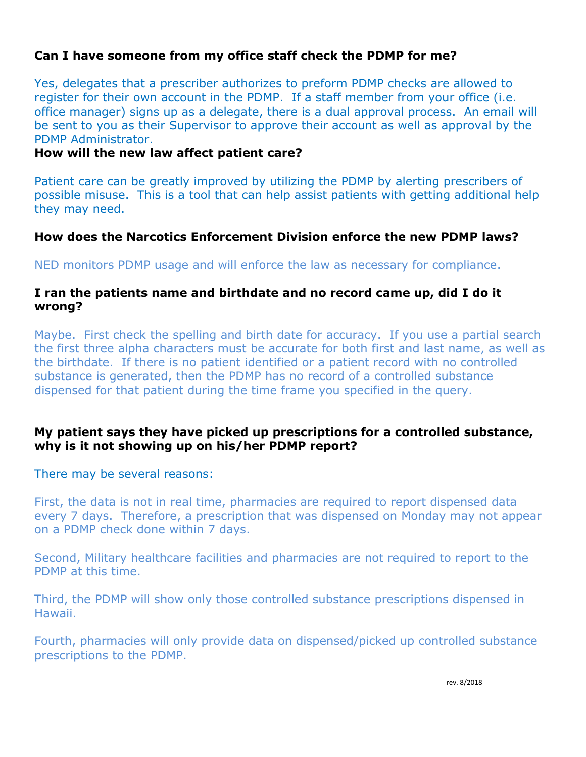### **Can I have someone from my office staff check the PDMP for me?**

Yes, delegates that a prescriber authorizes to preform PDMP checks are allowed to register for their own account in the PDMP. If a staff member from your office (i.e. office manager) signs up as a delegate, there is a dual approval process. An email will be sent to you as their Supervisor to approve their account as well as approval by the PDMP Administrator.

#### **How will the new law affect patient care?**

Patient care can be greatly improved by utilizing the PDMP by alerting prescribers of possible misuse. This is a tool that can help assist patients with getting additional help they may need.

#### **How does the Narcotics Enforcement Division enforce the new PDMP laws?**

NED monitors PDMP usage and will enforce the law as necessary for compliance.

#### **I ran the patients name and birthdate and no record came up, did I do it wrong?**

Maybe. First check the spelling and birth date for accuracy. If you use a partial search the first three alpha characters must be accurate for both first and last name, as well as the birthdate. If there is no patient identified or a patient record with no controlled substance is generated, then the PDMP has no record of a controlled substance dispensed for that patient during the time frame you specified in the query.

#### **My patient says they have picked up prescriptions for a controlled substance, why is it not showing up on his/her PDMP report?**

There may be several reasons:

First, the data is not in real time, pharmacies are required to report dispensed data every 7 days. Therefore, a prescription that was dispensed on Monday may not appear on a PDMP check done within 7 days.

Second, Military healthcare facilities and pharmacies are not required to report to the PDMP at this time.

Third, the PDMP will show only those controlled substance prescriptions dispensed in Hawaii.

Fourth, pharmacies will only provide data on dispensed/picked up controlled substance prescriptions to the PDMP.